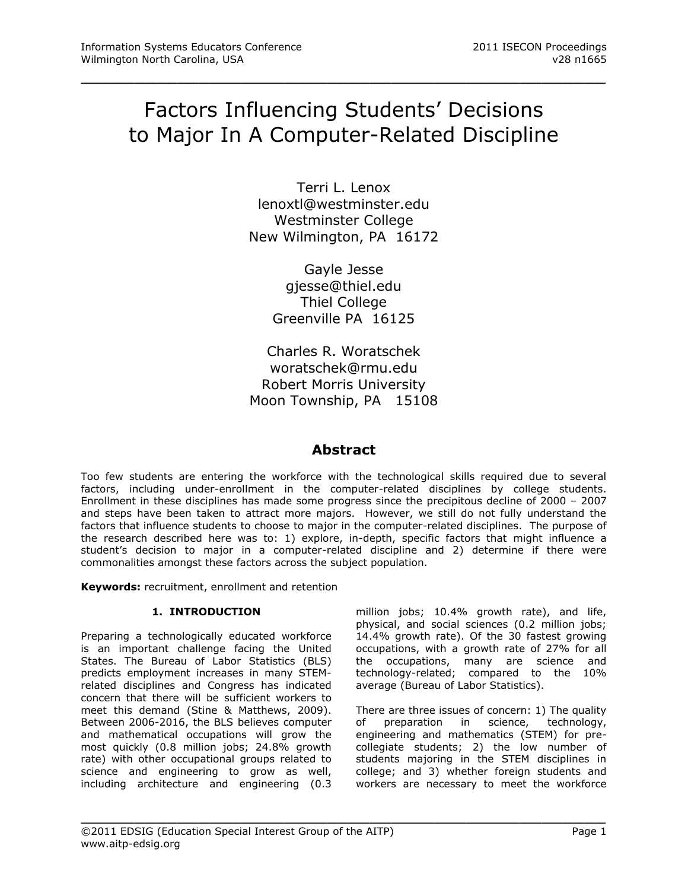# Factors Influencing Students' Decisions to Major In A Computer-Related Discipline

\_\_\_\_\_\_\_\_\_\_\_\_\_\_\_\_\_\_\_\_\_\_\_\_\_\_\_\_\_\_\_\_\_\_\_\_\_\_\_\_\_\_\_\_\_\_\_\_\_

Terri L. Lenox [lenoxtl@westminster.edu](mailto:lenoxtl@westminster.edu) Westminster College New Wilmington, PA 16172

> Gayle Jesse gjesse@thiel.edu Thiel College Greenville PA 16125

Charles R. Woratschek woratschek@rmu.edu Robert Morris University Moon Township, PA 15108

# **Abstract**

Too few students are entering the workforce with the technological skills required due to several factors, including under-enrollment in the computer-related disciplines by college students. Enrollment in these disciplines has made some progress since the precipitous decline of 2000 – 2007 and steps have been taken to attract more majors. However, we still do not fully understand the factors that influence students to choose to major in the computer-related disciplines. The purpose of the research described here was to: 1) explore, in-depth, specific factors that might influence a student's decision to major in a computer-related discipline and 2) determine if there were commonalities amongst these factors across the subject population.

\_\_\_\_\_\_\_\_\_\_\_\_\_\_\_\_\_\_\_\_\_\_\_\_\_\_\_\_\_\_\_\_\_\_\_\_\_\_\_\_\_\_\_\_\_\_\_\_\_

**Keywords:** recruitment, enrollment and retention

## **1. INTRODUCTION**

Preparing a technologically educated workforce is an important challenge facing the United States. The Bureau of Labor Statistics (BLS) predicts employment increases in many STEMrelated disciplines and Congress has indicated concern that there will be sufficient workers to meet this demand (Stine & Matthews, 2009). Between 2006-2016, the BLS believes computer and mathematical occupations will grow the most quickly (0.8 million jobs; 24.8% growth rate) with other occupational groups related to science and engineering to grow as well, including architecture and engineering (0.3 million jobs; 10.4% growth rate), and life, physical, and social sciences (0.2 million jobs; 14.4% growth rate). Of the 30 fastest growing occupations, with a growth rate of 27% for all the occupations, many are science and technology-related; compared to the 10% average (Bureau of Labor Statistics).

There are three issues of concern: 1) The quality of preparation in science, technology, engineering and mathematics (STEM) for precollegiate students; 2) the low number of students majoring in the STEM disciplines in college; and 3) whether foreign students and workers are necessary to meet the workforce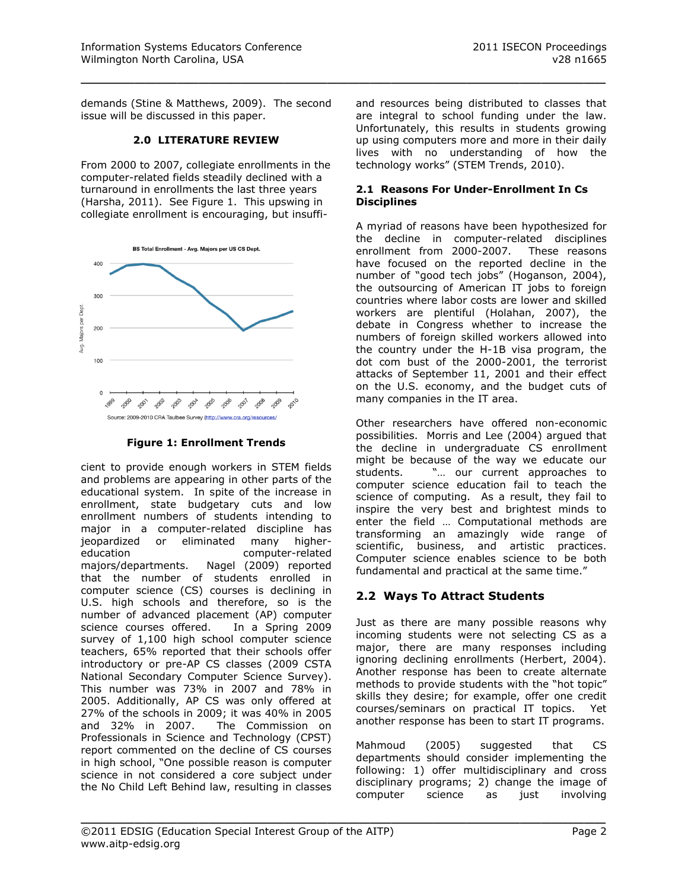demands (Stine & Matthews, 2009). The second issue will be discussed in this paper.

\_\_\_\_\_\_\_\_\_\_\_\_\_\_\_\_\_\_\_\_\_\_\_\_\_\_\_\_\_\_\_\_\_\_\_\_\_\_\_\_\_\_\_\_\_\_\_\_\_

#### **2.0 LITERATURE REVIEW**

From 2000 to 2007, collegiate enrollments in the computer-related fields steadily declined with a turnaround in enrollments the last three years (Harsha, 2011). See Figure 1. This upswing in collegiate enrollment is encouraging, but insuffi-



**Figure 1: Enrollment Trends**

cient to provide enough workers in STEM fields and problems are appearing in other parts of the educational system. In spite of the increase in enrollment, state budgetary cuts and low enrollment numbers of students intending to major in a computer-related discipline has jeopardized or eliminated many highereducation computer-related majors/departments. Nagel (2009) reported that the number of students enrolled in computer science (CS) courses is declining in U.S. high schools and therefore, so is the number of advanced placement (AP) computer science courses offered. In a Spring 2009 survey of 1,100 high school computer science teachers, 65% reported that their schools offer introductory or pre-AP CS classes (2009 CSTA National Secondary Computer Science Survey). This number was 73% in 2007 and 78% in 2005. Additionally, AP CS was only offered at 27% of the schools in 2009; it was 40% in 2005 and 32% in 2007. The Commission on Professionals in Science and Technology (CPST) report commented on the decline of CS courses in high school, "One possible reason is computer science in not considered a core subject under the No Child Left Behind law, resulting in classes and resources being distributed to classes that are integral to school funding under the law. Unfortunately, this results in students growing up using computers more and more in their daily lives with no understanding of how the technology works" (STEM Trends, 2010).

#### **2.1 Reasons For Under-Enrollment In Cs Disciplines**

A myriad of reasons have been hypothesized for the decline in computer-related disciplines enrollment from 2000-2007. These reasons have focused on the reported decline in the number of "good tech jobs" (Hoganson, 2004), the outsourcing of American IT jobs to foreign countries where labor costs are lower and skilled workers are plentiful (Holahan, 2007), the debate in Congress whether to increase the numbers of foreign skilled workers allowed into the country under the H-1B visa program, the dot com bust of the 2000-2001, the terrorist attacks of September 11, 2001 and their effect on the U.S. economy, and the budget cuts of many companies in the IT area.

Other researchers have offered non-economic possibilities. Morris and Lee (2004) argued that the decline in undergraduate CS enrollment might be because of the way we educate our students. "… our current approaches to computer science education fail to teach the science of computing. As a result, they fail to inspire the very best and brightest minds to enter the field … Computational methods are transforming an amazingly wide range of scientific, business, and artistic practices. Computer science enables science to be both fundamental and practical at the same time."

# **2.2 Ways To Attract Students**

Just as there are many possible reasons why incoming students were not selecting CS as a major, there are many responses including ignoring declining enrollments (Herbert, 2004). Another response has been to create alternate methods to provide students with the "hot topic" skills they desire; for example, offer one credit courses/seminars on practical IT topics. Yet another response has been to start IT programs.

Mahmoud (2005) suggested that CS departments should consider implementing the following: 1) offer multidisciplinary and cross disciplinary programs; 2) change the image of computer science as just involving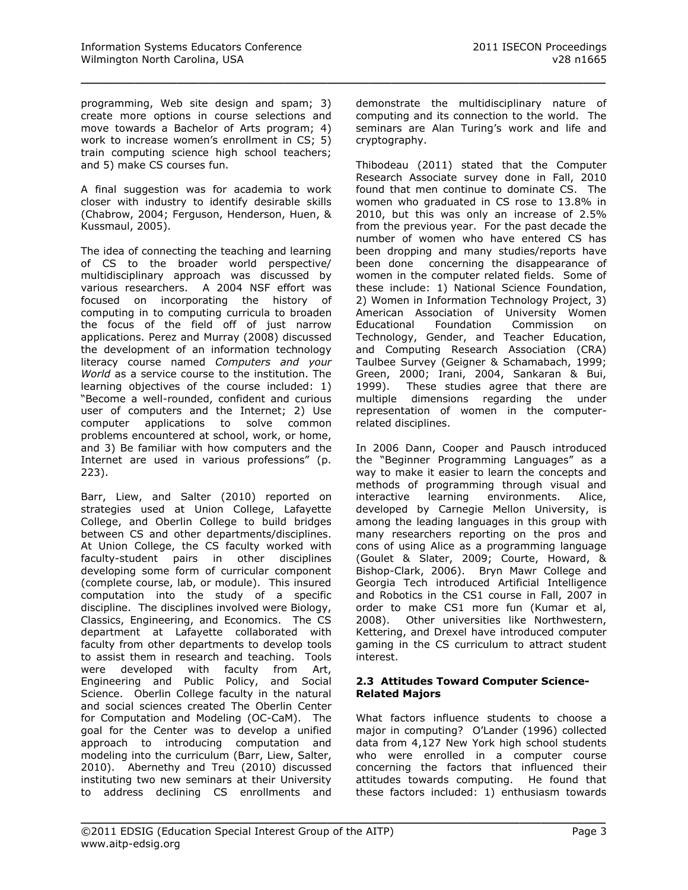programming, Web site design and spam; 3) create more options in course selections and move towards a Bachelor of Arts program; 4) work to increase women's enrollment in CS; 5) train computing science high school teachers; and 5) make CS courses fun.

\_\_\_\_\_\_\_\_\_\_\_\_\_\_\_\_\_\_\_\_\_\_\_\_\_\_\_\_\_\_\_\_\_\_\_\_\_\_\_\_\_\_\_\_\_\_\_\_\_

A final suggestion was for academia to work closer with industry to identify desirable skills (Chabrow, 2004; Ferguson, Henderson, Huen, & Kussmaul, 2005).

The idea of connecting the teaching and learning of CS to the broader world perspective/ multidisciplinary approach was discussed by various researchers. A 2004 NSF effort was focused on incorporating the history of computing in to computing curricula to broaden the focus of the field off of just narrow applications. Perez and Murray (2008) discussed the development of an information technology literacy course named *Computers and your World* as a service course to the institution. The learning objectives of the course included: 1) "Become a well-rounded, confident and curious user of computers and the Internet; 2) Use computer applications to solve common problems encountered at school, work, or home, and 3) Be familiar with how computers and the Internet are used in various professions" (p. 223).

Barr, Liew, and Salter (2010) reported on strategies used at Union College, Lafayette College, and Oberlin College to build bridges between CS and other departments/disciplines. At Union College, the CS faculty worked with faculty-student pairs in other disciplines developing some form of curricular component (complete course, lab, or module). This insured computation into the study of a specific discipline. The disciplines involved were Biology, Classics, Engineering, and Economics. The CS department at Lafayette collaborated with faculty from other departments to develop tools to assist them in research and teaching. Tools were developed with faculty from Art, Engineering and Public Policy, and Social Science. Oberlin College faculty in the natural and social sciences created The Oberlin Center for Computation and Modeling (OC-CaM). The goal for the Center was to develop a unified approach to introducing computation and modeling into the curriculum (Barr, Liew, Salter, 2010). Abernethy and Treu (2010) discussed instituting two new seminars at their University to address declining CS enrollments and

demonstrate the multidisciplinary nature of computing and its connection to the world. The seminars are Alan Turing's work and life and cryptography.

Thibodeau (2011) stated that the Computer Research Associate survey done in Fall, 2010 found that men continue to dominate CS. The women who graduated in CS rose to 13.8% in 2010, but this was only an increase of 2.5% from the previous year. For the past decade the number of women who have entered CS has been dropping and many studies/reports have been done concerning the disappearance of women in the computer related fields. Some of these include: 1) National Science Foundation, 2) Women in Information Technology Project, 3) American Association of University Women Educational Foundation Commission on Technology, Gender, and Teacher Education, and Computing Research Association (CRA) Taulbee Survey (Geigner & Schamabach, 1999; Green, 2000; Irani, 2004, Sankaran & Bui, 1999). These studies agree that there are multiple dimensions regarding the under representation of women in the computerrelated disciplines.

In 2006 Dann, Cooper and Pausch introduced the "Beginner Programming Languages" as a way to make it easier to learn the concepts and methods of programming through visual and interactive learning environments. Alice, developed by Carnegie Mellon University, is among the leading languages in this group with many researchers reporting on the pros and cons of using Alice as a programming language (Goulet & Slater, 2009; Courte, Howard, & Bishop-Clark, 2006). Bryn Mawr College and Georgia Tech introduced Artificial Intelligence and Robotics in the CS1 course in Fall, 2007 in order to make CS1 more fun (Kumar et al, 2008). Other universities like Northwestern, Kettering, and Drexel have introduced computer gaming in the CS curriculum to attract student interest.

#### **2.3 Attitudes Toward Computer Science-Related Majors**

What factors influence students to choose a major in computing? O'Lander (1996) collected data from 4,127 New York high school students who were enrolled in a computer course concerning the factors that influenced their attitudes towards computing. He found that these factors included: 1) enthusiasm towards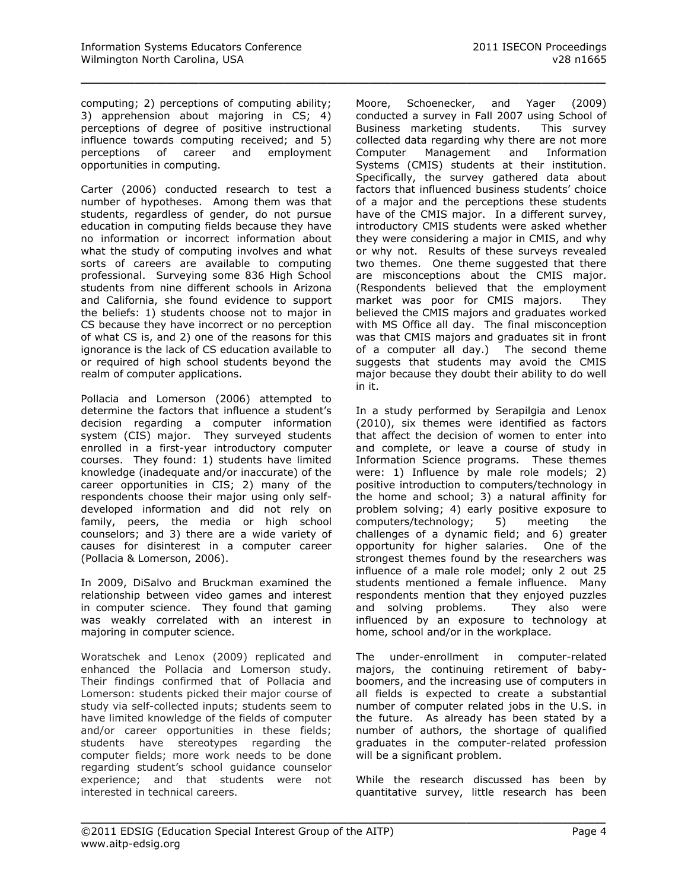computing; 2) perceptions of computing ability; 3) apprehension about majoring in CS; 4) perceptions of degree of positive instructional influence towards computing received; and 5) perceptions of career and employment opportunities in computing.

\_\_\_\_\_\_\_\_\_\_\_\_\_\_\_\_\_\_\_\_\_\_\_\_\_\_\_\_\_\_\_\_\_\_\_\_\_\_\_\_\_\_\_\_\_\_\_\_\_

Carter (2006) conducted research to test a number of hypotheses. Among them was that students, regardless of gender, do not pursue education in computing fields because they have no information or incorrect information about what the study of computing involves and what sorts of careers are available to computing professional. Surveying some 836 High School students from nine different schools in Arizona and California, she found evidence to support the beliefs: 1) students choose not to major in CS because they have incorrect or no perception of what CS is, and 2) one of the reasons for this ignorance is the lack of CS education available to or required of high school students beyond the realm of computer applications.

Pollacia and Lomerson (2006) attempted to determine the factors that influence a student's decision regarding a computer information system (CIS) major. They surveyed students enrolled in a first-year introductory computer courses. They found: 1) students have limited knowledge (inadequate and/or inaccurate) of the career opportunities in CIS; 2) many of the respondents choose their major using only selfdeveloped information and did not rely on family, peers, the media or high school counselors; and 3) there are a wide variety of causes for disinterest in a computer career (Pollacia & Lomerson, 2006).

In 2009, DiSalvo and Bruckman examined the relationship between video games and interest in computer science. They found that gaming was weakly correlated with an interest in majoring in computer science.

Woratschek and Lenox (2009) replicated and enhanced the Pollacia and Lomerson study. Their findings confirmed that of Pollacia and Lomerson: students picked their major course of study via self-collected inputs; students seem to have limited knowledge of the fields of computer and/or career opportunities in these fields; students have stereotypes regarding the computer fields; more work needs to be done regarding student's school guidance counselor experience; and that students were not interested in technical careers.

Moore, Schoenecker, and Yager (2009) conducted a survey in Fall 2007 using School of Business marketing students. This survey collected data regarding why there are not more Computer Management and Information Systems (CMIS) students at their institution. Specifically, the survey gathered data about factors that influenced business students' choice of a major and the perceptions these students have of the CMIS major. In a different survey, introductory CMIS students were asked whether they were considering a major in CMIS, and why or why not. Results of these surveys revealed two themes. One theme suggested that there are misconceptions about the CMIS major. (Respondents believed that the employment market was poor for CMIS majors. They believed the CMIS majors and graduates worked with MS Office all day. The final misconception was that CMIS majors and graduates sit in front of a computer all day.) The second theme suggests that students may avoid the CMIS major because they doubt their ability to do well in it.

In a study performed by Serapilgia and Lenox (2010), six themes were identified as factors that affect the decision of women to enter into and complete, or leave a course of study in Information Science programs. These themes were: 1) Influence by male role models; 2) positive introduction to computers/technology in the home and school; 3) a natural affinity for problem solving; 4) early positive exposure to computers/technology; 5) meeting the challenges of a dynamic field; and 6) greater opportunity for higher salaries. One of the strongest themes found by the researchers was influence of a male role model; only 2 out 25 students mentioned a female influence. Many respondents mention that they enjoyed puzzles and solving problems. They also were influenced by an exposure to technology at home, school and/or in the workplace.

The under-enrollment in computer-related majors, the continuing retirement of babyboomers, and the increasing use of computers in all fields is expected to create a substantial number of computer related jobs in the U.S. in the future. As already has been stated by a number of authors, the shortage of qualified graduates in the computer-related profession will be a significant problem.

While the research discussed has been by quantitative survey, little research has been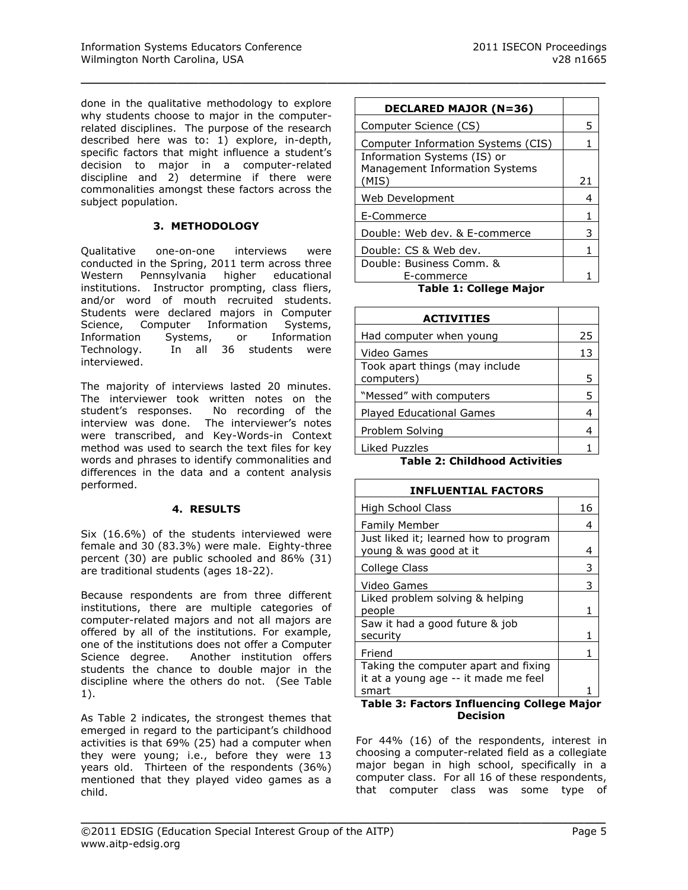done in the qualitative methodology to explore why students choose to major in the computerrelated disciplines. The purpose of the research described here was to: 1) explore, in-depth, specific factors that might influence a student's decision to major in a computer-related discipline and 2) determine if there were commonalities amongst these factors across the subject population.

\_\_\_\_\_\_\_\_\_\_\_\_\_\_\_\_\_\_\_\_\_\_\_\_\_\_\_\_\_\_\_\_\_\_\_\_\_\_\_\_\_\_\_\_\_\_\_\_\_

#### **3. METHODOLOGY**

Qualitative one-on-one interviews were conducted in the Spring, 2011 term across three Western Pennsylvania higher educational institutions. Instructor prompting, class fliers, and/or word of mouth recruited students. Students were declared majors in Computer Science, Computer Information Systems, Information Systems, or Information Technology. In all 36 students were interviewed.

The majority of interviews lasted 20 minutes. The interviewer took written notes on the student's responses. No recording of the interview was done. The interviewer's notes were transcribed, and Key-Words-in Context method was used to search the text files for key words and phrases to identify commonalities and differences in the data and a content analysis performed.

#### **4. RESULTS**

Six (16.6%) of the students interviewed were female and 30 (83.3%) were male. Eighty-three percent (30) are public schooled and 86% (31) are traditional students (ages 18-22).

Because respondents are from three different institutions, there are multiple categories of computer-related majors and not all majors are offered by all of the institutions. For example, one of the institutions does not offer a Computer Science degree. Another institution offers students the chance to double major in the discipline where the others do not. (See Table 1).

As Table 2 indicates, the strongest themes that emerged in regard to the participant's childhood activities is that 69% (25) had a computer when they were young; i.e., before they were 13 years old. Thirteen of the respondents (36%) mentioned that they played video games as a child.

| <b>DECLARED MAJOR (N=36)</b>                                  |    |
|---------------------------------------------------------------|----|
| Computer Science (CS)                                         | 5  |
| Computer Information Systems (CIS)                            |    |
| Information Systems (IS) or<br>Management Information Systems |    |
| (MIS)                                                         | 21 |
| Web Development                                               |    |
| E-Commerce                                                    |    |
| Double: Web dev. & E-commerce                                 | 3  |
| Double: CS & Web dev.                                         |    |
| Double: Business Comm. &                                      |    |
| E-commerce                                                    |    |

**Table 1: College Major**

| <b>ACTIVITIES</b>                            |    |
|----------------------------------------------|----|
| Had computer when young                      | 25 |
| Video Games                                  | 13 |
| Took apart things (may include<br>computers) | 5  |
| "Messed" with computers                      | 5  |
| <b>Played Educational Games</b>              |    |
| Problem Solving                              | 4  |
| Liked Puzzles                                |    |

**Table 2: Childhood Activities**

| <b>INFLUENTIAL FACTORS</b>                                                   |    |
|------------------------------------------------------------------------------|----|
| High School Class                                                            | 16 |
| <b>Family Member</b>                                                         | 4  |
| Just liked it; learned how to program<br>young & was good at it              | 4  |
| College Class                                                                | 3  |
| Video Games                                                                  | 3  |
| Liked problem solving & helping<br>people                                    | 1  |
| Saw it had a good future & job<br>security                                   | 1  |
| Friend                                                                       | 1  |
| Taking the computer apart and fixing<br>it at a young age -- it made me feel |    |
| smart<br>Table 3: Factors Influencing College Major                          |    |

**Decision**

For 44% (16) of the respondents, interest in choosing a computer-related field as a collegiate major began in high school, specifically in a computer class. For all 16 of these respondents, that computer class was some type of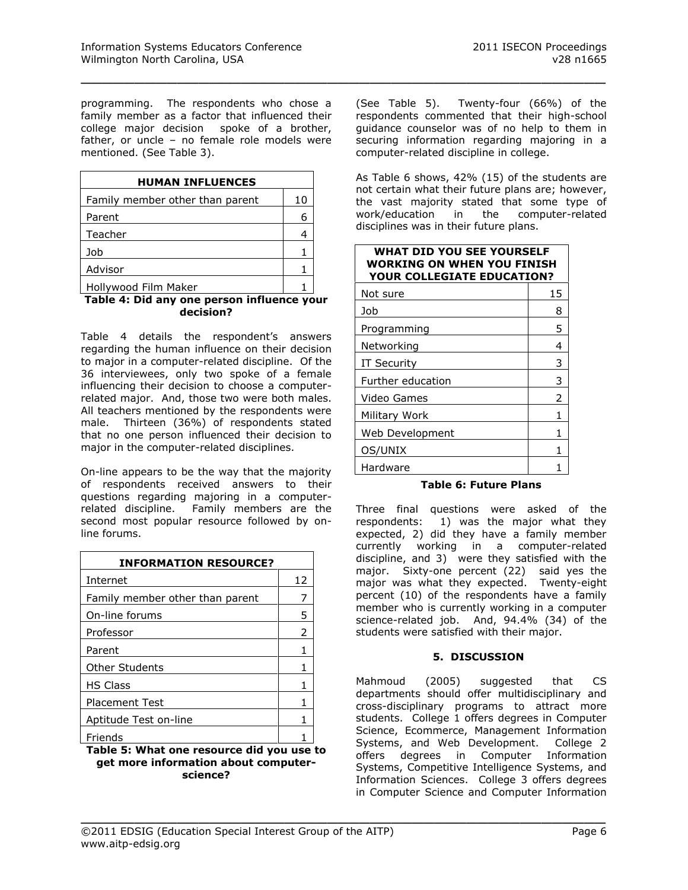programming. The respondents who chose a family member as a factor that influenced their college major decision spoke of a brother, father, or uncle – no female role models were mentioned. (See Table 3).

\_\_\_\_\_\_\_\_\_\_\_\_\_\_\_\_\_\_\_\_\_\_\_\_\_\_\_\_\_\_\_\_\_\_\_\_\_\_\_\_\_\_\_\_\_\_\_\_\_

| <b>HUMAN INFLUENCES</b>         |    |
|---------------------------------|----|
| Family member other than parent | 10 |
| Parent                          | 6  |
| Teacher                         | 4  |
| Job                             |    |
| Advisor                         |    |
| Hollywood Film Maker            |    |

#### **Table 4: Did any one person influence your decision?**

Table 4 details the respondent's answers regarding the human influence on their decision to major in a computer-related discipline. Of the 36 interviewees, only two spoke of a female influencing their decision to choose a computerrelated major. And, those two were both males. All teachers mentioned by the respondents were male. Thirteen (36%) of respondents stated that no one person influenced their decision to major in the computer-related disciplines.

On-line appears to be the way that the majority of respondents received answers to their questions regarding majoring in a computerrelated discipline. Family members are the second most popular resource followed by online forums.

| <b>INFORMATION RESOURCE?</b>    |    |  |
|---------------------------------|----|--|
| Internet                        | 12 |  |
| Family member other than parent |    |  |
| On-line forums                  | 5  |  |
| Professor                       | 2  |  |
| Parent                          |    |  |
| <b>Other Students</b>           |    |  |
| <b>HS Class</b>                 | 1  |  |
| <b>Placement Test</b>           |    |  |
| Aptitude Test on-line           |    |  |
| Friends                         |    |  |
| Table E: What one recourse did  |    |  |

**Table 5: What one resource did you use to get more information about computerscience?**

(See Table 5). Twenty-four (66%) of the respondents commented that their high-school guidance counselor was of no help to them in securing information regarding majoring in a computer-related discipline in college.

As Table 6 shows, 42% (15) of the students are not certain what their future plans are; however, the vast majority stated that some type of work/education in the computer-related disciplines was in their future plans.

| <b>WHAT DID YOU SEE YOURSELF</b><br>WORKING ON WHEN YOU FINISH<br><b>YOUR COLLEGIATE EDUCATION?</b> |    |  |
|-----------------------------------------------------------------------------------------------------|----|--|
| Not sure                                                                                            | 15 |  |
| Job                                                                                                 | 8  |  |
| Programming                                                                                         | 5  |  |
| Networking                                                                                          | 4  |  |
| IT Security                                                                                         | 3  |  |
| Further education                                                                                   | 3  |  |
| Video Games                                                                                         | 2  |  |
| Military Work                                                                                       | 1  |  |
| Web Development                                                                                     | 1  |  |
| OS/UNIX                                                                                             | 1  |  |
| Hardware                                                                                            |    |  |

**Table 6: Future Plans**

Three final questions were asked of the respondents: 1) was the major what they expected, 2) did they have a family member currently working in a computer-related discipline, and 3) were they satisfied with the major. Sixty-one percent (22) said yes the major was what they expected. Twenty-eight percent (10) of the respondents have a family member who is currently working in a computer science-related job. And, 94.4% (34) of the students were satisfied with their major.

## **5. DISCUSSION**

Mahmoud (2005) suggested that CS departments should offer multidisciplinary and cross-disciplinary programs to attract more students. College 1 offers degrees in Computer Science, Ecommerce, Management Information Systems, and Web Development. College 2 offers degrees in Computer Information Systems, Competitive Intelligence Systems, and Information Sciences. College 3 offers degrees in Computer Science and Computer Information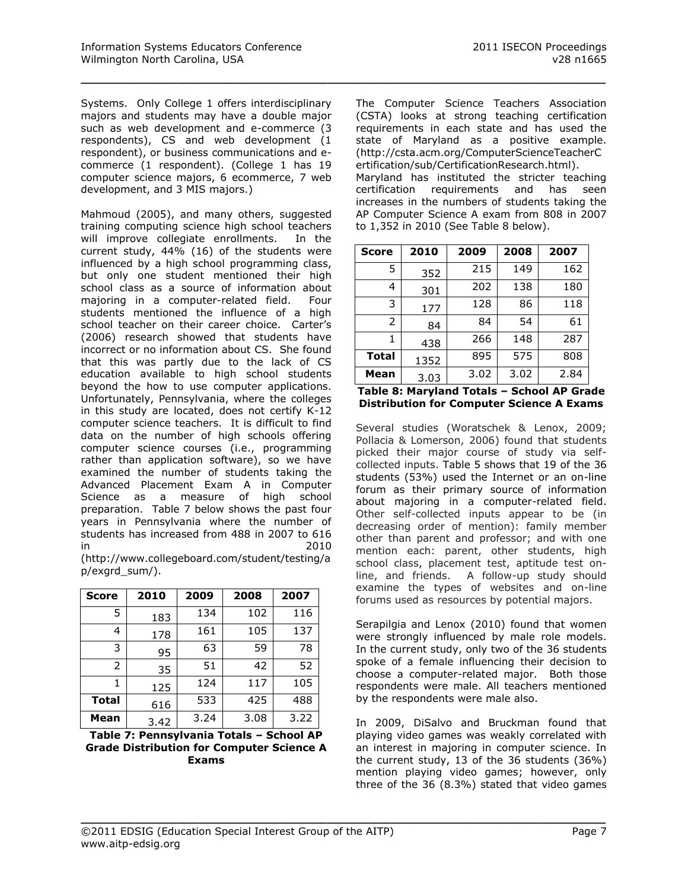Systems. Only College 1 offers interdisciplinary majors and students may have a double major such as web development and e-commerce (3 respondents), CS and web development (1 respondent), or business communications and ecommerce (1 respondent). (College 1 has 19 computer science majors, 6 ecommerce, 7 web development, and 3 MIS majors.)

\_\_\_\_\_\_\_\_\_\_\_\_\_\_\_\_\_\_\_\_\_\_\_\_\_\_\_\_\_\_\_\_\_\_\_\_\_\_\_\_\_\_\_\_\_\_\_\_\_

Mahmoud (2005), and many others, suggested training computing science high school teachers will improve collegiate enrollments. In the current study, 44% (16) of the students were influenced by a high school programming class, but only one student mentioned their high school class as a source of information about majoring in a computer-related field. Four students mentioned the influence of a high school teacher on their career choice. Carter's (2006) research showed that students have incorrect or no information about CS. She found that this was partly due to the lack of CS education available to high school students beyond the how to use computer applications. Unfortunately, Pennsylvania, where the colleges in this study are located, does not certify K-12 computer science teachers. It is difficult to find data on the number of high schools offering computer science courses (i.e., programming rather than application software), so we have examined the number of students taking the Advanced Placement Exam A in Computer Science as a measure of high school preparation. Table 7 below shows the past four years in Pennsylvania where the number of students has increased from 488 in 2007 to 616 in 2010 [\(http://www.collegeboard.com/student/testing/a](http://www.collegeboard.com/student/testing/ap/exgrd_sum/)

| <b>Score</b> | 2010 | 2009 | 2008 | 2007 |
|--------------|------|------|------|------|
| 5            | 183  | 134  | 102  | 116  |
| 4            | 178  | 161  | 105  | 137  |
| 3            | 95   | 63   | 59   | 78   |
| 2            | 35   | 51   | 42   | 52   |
|              | 125  | 124  | 117  | 105  |
| <b>Total</b> | 616  | 533  | 425  | 488  |
| Mean         | 3.42 | 3.24 | 3.08 | 3.22 |

[p/exgrd\\_sum/\)](http://www.collegeboard.com/student/testing/ap/exgrd_sum/).

**Table 7: Pennsylvania Totals – School AP Grade Distribution for Computer Science A Exams**

The Computer Science Teachers Association (CSTA) looks at strong teaching certification requirements in each state and has used the state of Maryland as a positive example. [\(http://csta.acm.org/ComputerScienceTeacherC](http://csta.acm.org/ComputerScienceTeacherCertification/sub/CertificationResearch.html) [ertification/sub/CertificationResearch.html\)](http://csta.acm.org/ComputerScienceTeacherCertification/sub/CertificationResearch.html). Maryland has instituted the stricter teaching certification requirements and has seen increases in the numbers of students taking the AP Computer Science A exam from 808 in 2007 to 1,352 in 2010 (See Table 8 below).

| <b>Score</b>  | 2010 | 2009 | 2008 | 2007 |
|---------------|------|------|------|------|
| 5             | 352  | 215  | 149  | 162  |
| 4             | 301  | 202  | 138  | 180  |
| 3             | 177  | 128  | 86   | 118  |
| $\mathcal{P}$ | 84   | 84   | 54   | 61   |
| 1             | 438  | 266  | 148  | 287  |
| <b>Total</b>  | 1352 | 895  | 575  | 808  |
| Mean          | 3.03 | 3.02 | 3.02 | 2.84 |

|  | Table 8: Maryland Totals - School AP Grade       |  |
|--|--------------------------------------------------|--|
|  | <b>Distribution for Computer Science A Exams</b> |  |

Several studies (Woratschek & Lenox, 2009; Pollacia & Lomerson, 2006) found that students picked their major course of study via selfcollected inputs. Table 5 shows that 19 of the 36 students (53%) used the Internet or an on-line forum as their primary source of information about majoring in a computer-related field. Other self-collected inputs appear to be (in decreasing order of mention): family member other than parent and professor; and with one mention each: parent, other students, high school class, placement test, aptitude test online, and friends. A follow-up study should examine the types of websites and on-line forums used as resources by potential majors.

Serapilgia and Lenox (2010) found that women were strongly influenced by male role models. In the current study, only two of the 36 students spoke of a female influencing their decision to choose a computer-related major. Both those respondents were male. All teachers mentioned by the respondents were male also.

In 2009, DiSalvo and Bruckman found that playing video games was weakly correlated with an interest in majoring in computer science. In the current study, 13 of the 36 students (36%) mention playing video games; however, only three of the 36 (8.3%) stated that video games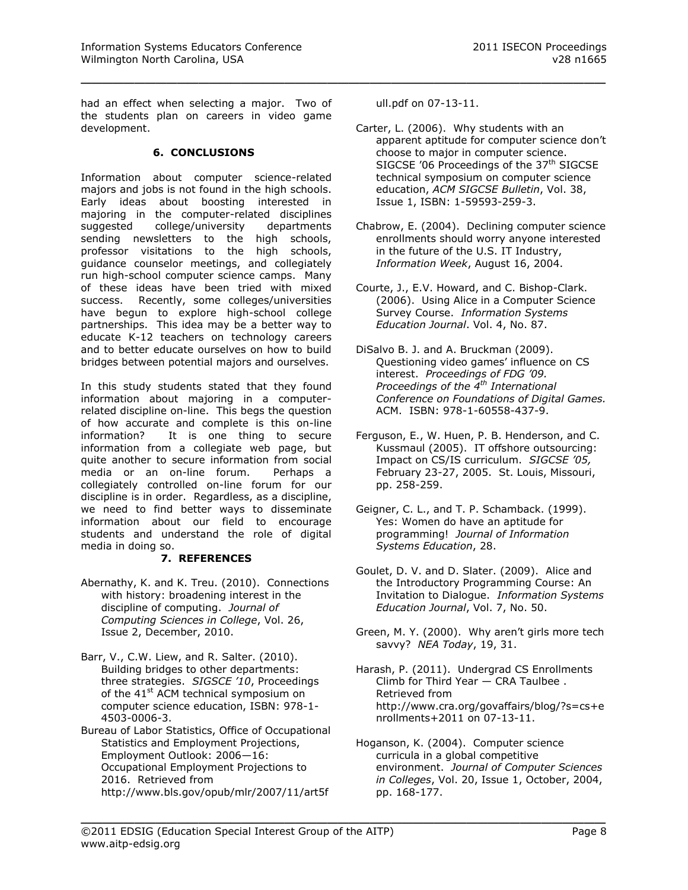had an effect when selecting a major. Two of the students plan on careers in video game development.

#### **6. CONCLUSIONS**

Information about computer science-related majors and jobs is not found in the high schools. Early ideas about boosting interested in majoring in the computer-related disciplines suggested college/university departments sending newsletters to the high schools, professor visitations to the high schools, guidance counselor meetings, and collegiately run high-school computer science camps. Many of these ideas have been tried with mixed success. Recently, some colleges/universities have begun to explore high-school college partnerships. This idea may be a better way to educate K-12 teachers on technology careers and to better educate ourselves on how to build bridges between potential majors and ourselves.

In this study students stated that they found information about majoring in a computerrelated discipline on-line. This begs the question of how accurate and complete is this on-line information? It is one thing to secure information from a collegiate web page, but quite another to secure information from social media or an on-line forum. Perhaps a collegiately controlled on-line forum for our discipline is in order. Regardless, as a discipline, we need to find better ways to disseminate information about our field to encourage students and understand the role of digital media in doing so.

## **7. REFERENCES**

- Abernathy, K. and K. Treu. (2010). Connections with history: broadening interest in the discipline of computing. *Journal of Computing Sciences in College*, Vol. 26, Issue 2, December, 2010.
- Barr, V., C.W. Liew, and R. Salter. (2010). Building bridges to other departments: three strategies. *SIGSCE '10*, Proceedings of the 41<sup>st</sup> ACM technical symposium on computer science education, ISBN: 978-1- 4503-0006-3.

Bureau of Labor Statistics, Office of Occupational Statistics and Employment Projections, Employment Outlook: 2006—16: Occupational Employment Projections to 2016. Retrieved from [http://www.bls.gov/opub/mlr/2007/11/art5f](http://www.bls.gov/opub/mlr/2007/11/art5full.pdf)

[ull.pdf](http://www.bls.gov/opub/mlr/2007/11/art5full.pdf) on 07-13-11.

\_\_\_\_\_\_\_\_\_\_\_\_\_\_\_\_\_\_\_\_\_\_\_\_\_\_\_\_\_\_\_\_\_\_\_\_\_\_\_\_\_\_\_\_\_\_\_\_\_

- Carter, L. (2006). Why students with an apparent aptitude for computer science don't choose to major in computer science. SIGCSE '06 Proceedings of the  $37<sup>th</sup>$  SIGCSE technical symposium on computer science education, *ACM SIGCSE Bulletin*, Vol. 38, Issue 1, ISBN: 1-59593-259-3.
- Chabrow, E. (2004). Declining computer science enrollments should worry anyone interested in the future of the U.S. IT Industry, *Information Week*, August 16, 2004.
- Courte, J., E.V. Howard, and C. Bishop-Clark. (2006). Using Alice in a Computer Science Survey Course. *Information Systems Education Journal*. Vol. 4, No. 87.
- DiSalvo B. J. and A. Bruckman (2009). Questioning video games' influence on CS interest. *Proceedings of FDG '09. Proceedings of the 4th International Conference on Foundations of Digital Games.*  ACM. ISBN: 978-1-60558-437-9.
- Ferguson, E., W. Huen, P. B. Henderson, and C. Kussmaul (2005). IT offshore outsourcing: Impact on CS/IS curriculum. *SIGCSE '05,* February 23-27, 2005. St. Louis, Missouri, pp. 258-259.
- Geigner, C. L., and T. P. Schamback. (1999). Yes: Women do have an aptitude for programming! *Journal of Information Systems Education*, 28.
- Goulet, D. V. and D. Slater. (2009). Alice and the Introductory Programming Course: An Invitation to Dialogue. *Information Systems Education Journal*, Vol. 7, No. 50.
- Green, M. Y. (2000). Why aren't girls more tech savvy? *NEA Today*, 19, 31.
- Harash, P. (2011). Undergrad CS Enrollments Climb for Third Year — CRA Taulbee . Retrieved from [http://www.cra.org/govaffairs/blog/?s=cs+e](http://www.cra.org/govaffairs/blog/?s=cs+enrollments+2011) [nrollments+2011](http://www.cra.org/govaffairs/blog/?s=cs+enrollments+2011) on 07-13-11.

Hoganson, K. (2004). Computer science curricula in a global competitive environment. *Journal of Computer Sciences in Colleges*, Vol. 20, Issue 1, October, 2004, pp. 168-177.